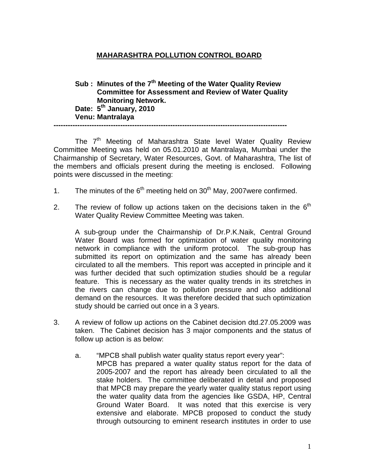## **MAHARASHTRA POLLUTION CONTROL BOARD**

**Sub : Minutes of the 7th Meeting of the Water Quality Review Committee for Assessment and Review of Water Quality Monitoring Network. Date: 5th January, 2010 Venu: Mantralaya --------------------------------------------------------------------------------------------------** 

The  $7<sup>th</sup>$  Meeting of Maharashtra State level Water Quality Review Committee Meeting was held on 05.01.2010 at Mantralaya, Mumbai under the Chairmanship of Secretary, Water Resources, Govt. of Maharashtra, The list of the members and officials present during the meeting is enclosed. Following points were discussed in the meeting:

- 1. The minutes of the  $6<sup>th</sup>$  meeting held on  $30<sup>th</sup>$  May, 2007were confirmed.
- 2. The review of follow up actions taken on the decisions taken in the  $6<sup>th</sup>$ Water Quality Review Committee Meeting was taken.

 A sub-group under the Chairmanship of Dr.P.K.Naik, Central Ground Water Board was formed for optimization of water quality monitoring network in compliance with the uniform protocol. The sub-group has submitted its report on optimization and the same has already been circulated to all the members. This report was accepted in principle and it was further decided that such optimization studies should be a regular feature. This is necessary as the water quality trends in its stretches in the rivers can change due to pollution pressure and also additional demand on the resources. It was therefore decided that such optimization study should be carried out once in a 3 years.

- 3. A review of follow up actions on the Cabinet decision dtd.27.05.2009 was taken. The Cabinet decision has 3 major components and the status of follow up action is as below:
	- a. "MPCB shall publish water quality status report every year": MPCB has prepared a water quality status report for the data of 2005-2007 and the report has already been circulated to all the stake holders. The committee deliberated in detail and proposed that MPCB may prepare the yearly water quality status report using the water quality data from the agencies like GSDA, HP, Central Ground Water Board. It was noted that this exercise is very extensive and elaborate. MPCB proposed to conduct the study through outsourcing to eminent research institutes in order to use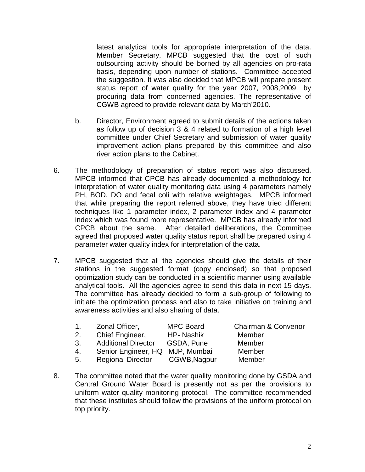latest analytical tools for appropriate interpretation of the data. Member Secretary, MPCB suggested that the cost of such outsourcing activity should be borned by all agencies on pro-rata basis, depending upon number of stations. Committee accepted the suggestion. It was also decided that MPCB will prepare present status report of water quality for the year 2007, 2008,2009 by procuring data from concerned agencies. The representative of CGWB agreed to provide relevant data by March'2010.

- b. Director, Environment agreed to submit details of the actions taken as follow up of decision 3 & 4 related to formation of a high level committee under Chief Secretary and submission of water quality improvement action plans prepared by this committee and also river action plans to the Cabinet.
- 6. The methodology of preparation of status report was also discussed. MPCB informed that CPCB has already documented a methodology for interpretation of water quality monitoring data using 4 parameters namely PH, BOD, DO and fecal coli with relative weightages. MPCB informed that while preparing the report referred above, they have tried different techniques like 1 parameter index, 2 parameter index and 4 parameter index which was found more representative. MPCB has already informed CPCB about the same. After detailed deliberations, the Committee agreed that proposed water quality status report shall be prepared using 4 parameter water quality index for interpretation of the data.
- 7. MPCB suggested that all the agencies should give the details of their stations in the suggested format (copy enclosed) so that proposed optimization study can be conducted in a scientific manner using available analytical tools. All the agencies agree to send this data in next 15 days. The committee has already decided to form a sub-group of following to initiate the optimization process and also to take initiative on training and awareness activities and also sharing of data.

| 1. | Zonal Officer,                  | <b>MPC Board</b> | Chairman & Convenor |
|----|---------------------------------|------------------|---------------------|
| 2. | Chief Engineer,                 | HP- Nashik       | Member              |
| 3. | <b>Additional Director</b>      | GSDA, Pune       | Member              |
| 4. | Senior Engineer, HQ MJP, Mumbai |                  | Member              |
| 5. | Regional Director CGWB, Nagpur  |                  | Member              |

8. The committee noted that the water quality monitoring done by GSDA and Central Ground Water Board is presently not as per the provisions to uniform water quality monitoring protocol. The committee recommended that these institutes should follow the provisions of the uniform protocol on top priority.